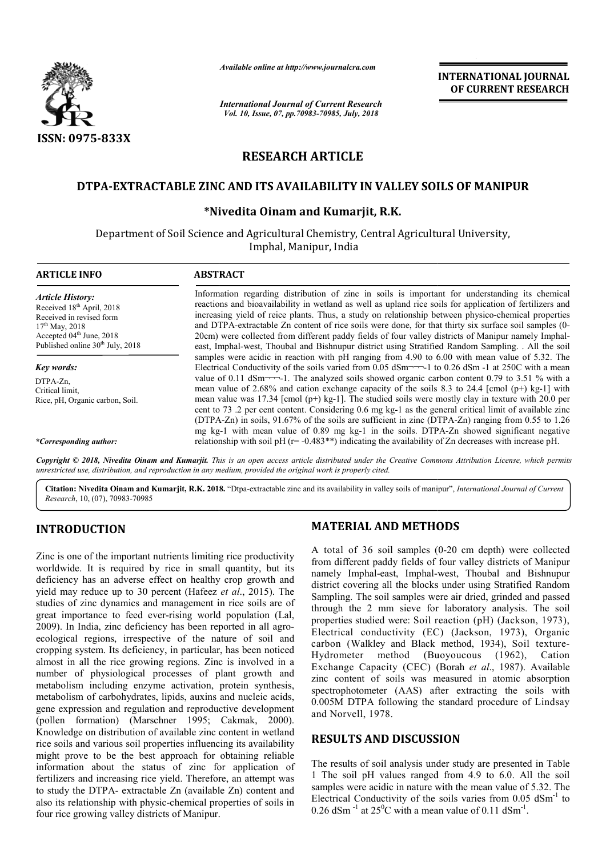

*Available online at http://www.journalcra.com*

*International Journal of Current Research Vol. 10, Issue, 07, pp.70983-70985, July, 2018*

**INTERNATIONAL JOURNAL OF CURRENT RESEARCH**

# **RESEARCH ARTICLE**

# DTPA-EXTRACTABLE ZINC AND ITS AVAILABILITY IN VALLEY SOILS OF MANIPUR

## **\*Nivedita Oinam and Kumarjit, R.K. Nivedita**

Department of Soil Science and Agricultural Chemistry, Central Agricultural University, Imphal, Manipur, India

| <b>ARTICLE INFO</b>                                                                                                                                                                                      | <b>ABSTRACT</b>                                                                                                                                                                                                                                                                                                                                                                                                                                                                                                                                                                                                                        |  |  |  |  |  |  |
|----------------------------------------------------------------------------------------------------------------------------------------------------------------------------------------------------------|----------------------------------------------------------------------------------------------------------------------------------------------------------------------------------------------------------------------------------------------------------------------------------------------------------------------------------------------------------------------------------------------------------------------------------------------------------------------------------------------------------------------------------------------------------------------------------------------------------------------------------------|--|--|--|--|--|--|
| <b>Article History:</b><br>Received 18 <sup>th</sup> April, 2018<br>Received in revised form<br>$17th$ May, 2018<br>Accepted 04 <sup>th</sup> June, 2018<br>Published online 30 <sup>th</sup> July, 2018 | Information regarding distribution of zinc in soils is important for understanding its chemical<br>reactions and bioavailability in wetland as well as upland rice soils for application of fertilizers and<br>increasing yield of reice plants. Thus, a study on relationship between physico-chemical properties<br>and DTPA-extractable Zn content of rice soils were done, for that thirty six surface soil samples (0-<br>20cm) were collected from different paddy fields of four valley districts of Manipur namely Imphal-<br>east, Imphal-west, Thoubal and Bishnupur district using Stratified Random Sampling. All the soil |  |  |  |  |  |  |
|                                                                                                                                                                                                          | samples were acidic in reaction with pH ranging from 4.90 to 6.00 with mean value of 5.32. The<br>Electrical Conductivity of the soils varied from 0.05 dSm <sup>-----</sup> -1 to 0.26 dSm -1 at 250C with a mean                                                                                                                                                                                                                                                                                                                                                                                                                     |  |  |  |  |  |  |
| Key words:<br>DTPA-Zn,<br>Critical limit,<br>Rice, pH, Organic carbon, Soil.                                                                                                                             | value of 0.11 dSm $\rightarrow$ -1. The analyzed soils showed organic carbon content 0.79 to 3.51 % with a<br>mean value of 2.68% and cation exchange capacity of the soils 8.3 to 24.4 [cmol (p+) kg-1] with<br>mean value was 17.34 [cmol (p+) kg-1]. The studied soils were mostly clay in texture with 20.0 per<br>cent to 73 .2 per cent content. Considering 0.6 mg kg-1 as the general critical limit of available zinc<br>(DTPA-Zn) in soils, 91.67% of the soils are sufficient in zinc (DTPA-Zn) ranging from 0.55 to 1.26                                                                                                   |  |  |  |  |  |  |
| *Corresponding author:                                                                                                                                                                                   | mg kg-1 with mean value of 0.89 mg kg-1 in the soils. DTPA-Zn showed significant negative<br>relationship with soil pH $(r = -0.483**)$ indicating the availability of Zn decreases with increase pH.                                                                                                                                                                                                                                                                                                                                                                                                                                  |  |  |  |  |  |  |

Copyright © 2018, Nivedita Oinam and Kumarjit. This is an open access article distributed under the Creative Commons Attribution License, which permits *unrestricted use, distribution, and reproduction in any medium, provided the original work is properly cited.*

Citation: Nivedita Oinam and Kumarjit, R.K. 2018. "Dtpa-extractable zinc and its availability in valley soils of manipur", *International Journal of Current Research*, 10, (07), 70983-70985

# **INTRODUCTION**

Zinc is one of the important nutrients limiting rice productivity worldwide. It is required by rice in small quantity, but its deficiency has an adverse effect on healthy crop growth and yield may reduce up to 30 percent (Hafeez *et al*., 2015). The studies of zinc dynamics and management in rice soils are of great importance to feed ever-rising world population (Lal, great importance to feed ever-rising world population (Lal, 2009). In India, zinc deficiency has been reported in all agroecological regions, irrespective of the nature of soil and cropping system. Its deficiency, in particular, has been noticed almost in all the rice growing regions. Zinc is involved in a number of physiological processes of plant growth and metabolism including enzyme activation, protein synthesis, metabolism of carbohydrates, lipids, auxins and nucleic acids, gene expression and regulation and reproductive development (pollen formation) (Marschner 1995; Cakmak, 2000). Knowledge on distribution of available zinc content in wetland rice soils and various soil properties influencing its a availability might prove to be the best approach for obtaining reliable information about the status of zinc for application of fertilizers and increasing rice yield. Therefore, an attempt was to study the DTPA- extractable Zn (available Zn) content and also its relationship with physic-chemical properties of soils in four rice growing valley districts of Manipur. **MATERIAL AND METHODS**<br>
ients limiting rice productivity<br>
A total of 36 soil samples (0-20<br>
ice in small quantity, but its<br>
from different paddy fields of four<br>
t on healthy crop growth and<br>
amanely Imphal-east, Imphal-wes

A total of  $36$  soil samples  $(0-20 \text{ cm depth})$  were collected from different paddy fields of four valley districts of Manipur namely Imphal-east, Imphal-west, Thoubal and Bishnupur district covering all the blocks under using Stratified Random Sampling. The soil samples were air dried, grinded and passed through the 2 mm sieve for laboratory analysis. The soil properties studied were: Soil reaction (pH) (Jackson, 1973), Electrical conductivity (EC) (Jackson, 1973), Organic namely Imphal-east, Imphal-west, Thoubal and Bishnupur<br>district covering all the blocks under using Stratified Random<br>Sampling. The soil samples were air dried, grinded and passed<br>through the 2 mm sieve for laboratory anal Hydrometer method (Buoyoucous (1962), Cation (Buoyoucous (1962), Cation Exchange Capacity (CEC) (Borah *et al*., 1987). Available zinc content of soils was measured in atomic absorption spectrophotometer (AAS) after extracting the soils with 0.005M DTPA following the standard procedure of and Norvell, 1978. of soils was measured in atomic absorption<br>eter (AAS) after extracting the soils with<br>A following the standard procedure of Lindsay

### **RESULTS AND DISCUSSION**

The results of soil analysis under study are presented in Table 1 The soil pH values ranged from 4.9 to 6.0. All the soil samples were acidic in nature with the mean value of 5.32. The The results of soil analysis under study are presented in Table 1 The soil pH values ranged from 4.9 to 6.0. All the soil samples were acidic in nature with the mean value of 5.32. The Electrical Conductivity of the soils  $0.26$  dSm<sup>-1</sup> at  $25^{\circ}$ C with a mean value of 0.11 dSm<sup>-1</sup>.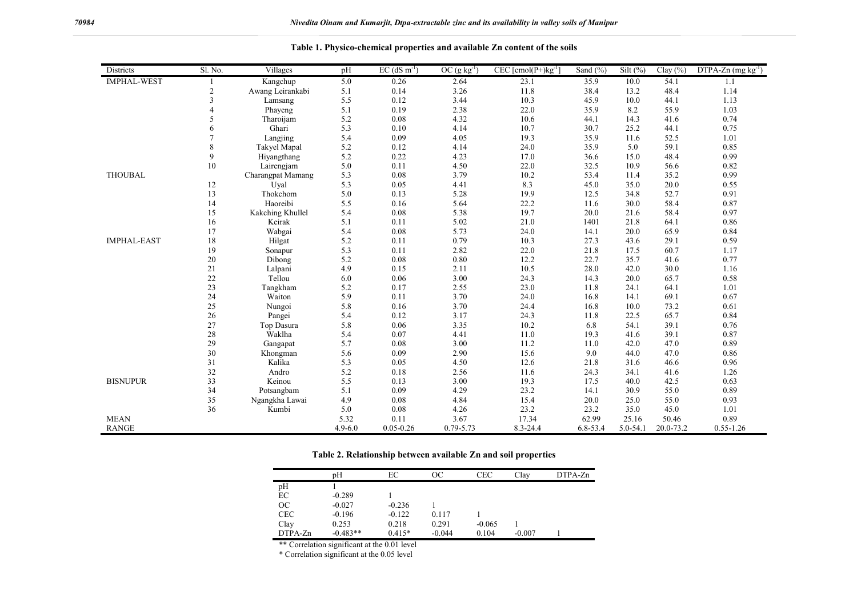| Districts          | Sl. No.                  | Villages                 | pH          | $EC$ (dS m <sup>-1</sup> ) | $OC$ (g kg <sup>-1</sup> ) | $CEC$ [cmol(P+) $kg^{-1}$ | Sand $(\% )$ | Silt $(\% )$ | Clay $(\% )$ | $DTPA-Zn$ (mg kg <sup>-1</sup> ) |
|--------------------|--------------------------|--------------------------|-------------|----------------------------|----------------------------|---------------------------|--------------|--------------|--------------|----------------------------------|
| <b>IMPHAL-WEST</b> |                          | Kangchup                 | 5.0         | 0.26                       | 2.64                       | 23.1                      | 35.9         | 10.0         | 54.1         | 1.1                              |
|                    | 2                        | Awang Leirankabi         | 5.1         | 0.14                       | 3.26                       | 11.8                      | 38.4         | 13.2         | 48.4         | 1.14                             |
|                    | 3                        | Lamsang                  | 5.5         | 0.12                       | 3.44                       | 10.3                      | 45.9         | 10.0         | 44.1         | 1.13                             |
|                    |                          | Phayeng                  | 5.1         | 0.19                       | 2.38                       | 22.0                      | 35.9         | 8.2          | 55.9         | 1.03                             |
|                    | $\overline{\phantom{0}}$ | Tharoijam                | 5.2         | 0.08                       | 4.32                       | 10.6                      | 44.1         | 14.3         | 41.6         | 0.74                             |
|                    | 6                        | Ghari                    | 5.3         | 0.10                       | 4.14                       | 10.7                      | 30.7         | 25.2         | 44.1         | 0.75                             |
|                    |                          | Langjing                 | 5.4         | 0.09                       | 4.05                       | 19.3                      | 35.9         | 11.6         | 52.5         | 1.01                             |
|                    | 8                        | Takyel Mapal             | 5.2         | 0.12                       | 4.14                       | 24.0                      | 35.9         | 5.0          | 59.1         | 0.85                             |
|                    | 9                        | Hiyangthang              | 5.2         | 0.22                       | 4.23                       | 17.0                      | 36.6         | 15.0         | 48.4         | 0.99                             |
|                    | 10                       | Lairengjam               | 5.0         | 0.11                       | 4.50                       | 22.0                      | 32.5         | 10.9         | 56.6         | 0.82                             |
| <b>THOUBAL</b>     |                          | <b>Charangpat Mamang</b> | 5.3         | $0.08\,$                   | 3.79                       | 10.2                      | 53.4         | 11.4         | 35.2         | 0.99                             |
|                    | 12                       | Uval                     | 5.3         | 0.05                       | 4.41                       | 8.3                       | 45.0         | 35.0         | 20.0         | 0.55                             |
|                    | 13                       | Thokchom                 | 5.0         | 0.13                       | 5.28                       | 19.9                      | 12.5         | 34.8         | 52.7         | 0.91                             |
|                    | 14                       | Haoreibi                 | 5.5         | 0.16                       | 5.64                       | 22.2                      | 11.6         | 30.0         | 58.4         | 0.87                             |
|                    | 15                       | Kakching Khullel         | 5.4         | 0.08                       | 5.38                       | 19.7                      | 20.0         | 21.6         | 58.4         | 0.97                             |
|                    | 16                       | Keirak                   | 5.1         | 0.11                       | 5.02                       | 21.0                      | 1401         | 21.8         | 64.1         | 0.86                             |
|                    | 17                       | Wabgai                   | 5.4         | 0.08                       | 5.73                       | 24.0                      | 14.1         | 20.0         | 65.9         | 0.84                             |
| <b>IMPHAL-EAST</b> | 18                       | Hilgat                   | 5.2         | 0.11                       | 0.79                       | 10.3                      | 27.3         | 43.6         | 29.1         | 0.59                             |
|                    | 19                       | Sonapur                  | 5.3         | 0.11                       | 2.82                       | 22.0                      | 21.8         | 17.5         | 60.7         | 1.17                             |
|                    | 20                       | Dibong                   | 5.2         | 0.08                       | 0.80                       | 12.2                      | 22.7         | 35.7         | 41.6         | 0.77                             |
|                    | 21                       | Lalpani                  | 4.9         | 0.15                       | 2.11                       | 10.5                      | 28.0         | 42.0         | 30.0         | 1.16                             |
|                    | 22                       | Tellou                   | 6.0         | 0.06                       | 3.00                       | 24.3                      | 14.3         | 20.0         | 65.7         | 0.58                             |
|                    | 23                       | Tangkham                 | 5.2         | 0.17                       | 2.55                       | 23.0                      | 11.8         | 24.1         | 64.1         | 1.01                             |
|                    | 24                       | Waiton                   | 5.9         | 0.11                       | 3.70                       | 24.0                      | 16.8         | 14.1         | 69.1         | 0.67                             |
|                    | 25                       | Nungoi                   | 5.8         | 0.16                       | 3.70                       | 24.4                      | 16.8         | 10.0         | 73.2         | 0.61                             |
|                    | 26                       | Pangei                   | 5.4         | 0.12                       | 3.17                       | 24.3                      | 11.8         | 22.5         | 65.7         | 0.84                             |
|                    | 27                       | Top Dasura               | 5.8         | 0.06                       | 3.35                       | 10.2                      | 6.8          | 54.1         | 39.1         | 0.76                             |
|                    | 28                       | Waklha                   | 5.4         | 0.07                       | 4.41                       | 11.0                      | 19.3         | 41.6         | 39.1         | 0.87                             |
|                    | 29                       | Gangapat                 | 5.7         | 0.08                       | 3.00                       | 11.2                      | 11.0         | 42.0         | 47.0         | 0.89                             |
|                    | 30                       | Khongman                 | 5.6         | 0.09                       | 2.90                       | 15.6                      | 9.0          | 44.0         | 47.0         | 0.86                             |
|                    | 31                       | Kalika                   | 5.3         | 0.05                       | 4.50                       | 12.6                      | 21.8         | 31.6         | 46.6         | 0.96                             |
|                    | 32                       | Andro                    | 5.2         | 0.18                       | 2.56                       | 11.6                      | 24.3         | 34.1         | 41.6         | 1.26                             |
| <b>BISNUPUR</b>    | 33                       | Keinou                   | 5.5         | 0.13                       | 3.00                       | 19.3                      | 17.5         | 40.0         | 42.5         | 0.63                             |
|                    | 34                       | Potsangbam               | 5.1         | 0.09                       | 4.29                       | 23.2                      | 14.1         | 30.9         | 55.0         | 0.89                             |
|                    | 35                       | Ngangkha Lawai           | 4.9         | 0.08                       | 4.84                       | 15.4                      | 20.0         | 25.0         | 55.0         | 0.93                             |
|                    | 36                       | Kumbi                    | 5.0         | 0.08                       | 4.26                       | 23.2                      | 23.2         | 35.0         | 45.0         | 1.01                             |
| <b>MEAN</b>        |                          |                          | 5.32        | 0.11                       | 3.67                       | 17.34                     | 62.99        | 25.16        | 50.46        | 0.89                             |
| <b>RANGE</b>       |                          |                          | $4.9 - 6.0$ | $0.05 - 0.26$              | 0.79-5.73                  | $8.3 - 24.4$              | $6.8 - 53.4$ | $5.0 - 54.1$ | 20.0-73.2    | $0.55 - 1.26$                    |

**Table 1. Physico-chemical properties and available Zn content of the soils**

### **Table 2. Relationship between available Zn and soil properties**

|            | pΗ         | EС       | OС       | CEC      | Clay     | $DTPA-Zn$ |
|------------|------------|----------|----------|----------|----------|-----------|
| pH         |            |          |          |          |          |           |
| EC         | $-0.289$   |          |          |          |          |           |
| <b>OC</b>  | $-0.027$   | $-0.236$ |          |          |          |           |
| <b>CEC</b> | $-0.196$   | $-0.122$ | 0.117    |          |          |           |
| Clay       | 0.253      | 0.218    | 0.291    | $-0.065$ |          |           |
| $DTPA-Zn$  | $-0.483**$ | $0.415*$ | $-0.044$ | 0.104    | $-0.007$ |           |

\*\* Correlation significant at the 0.01 level

\* Correlation significant at the 0.05 level